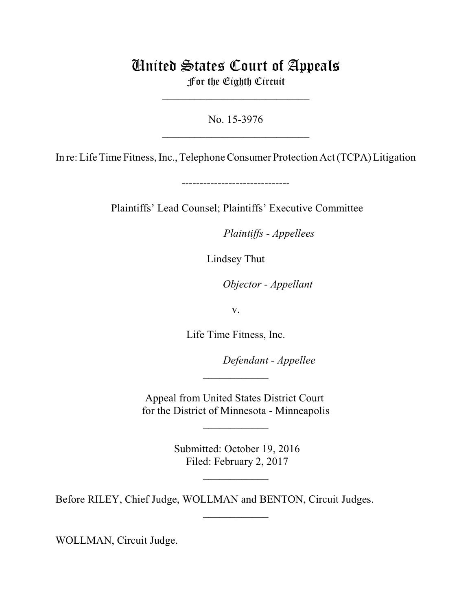## United States Court of Appeals For the Eighth Circuit

\_\_\_\_\_\_\_\_\_\_\_\_\_\_\_\_\_\_\_\_\_\_\_\_\_\_\_

No. 15-3976  $\mathcal{L}_\text{max}$  , which is a set of the set of the set of the set of the set of the set of the set of the set of the set of the set of the set of the set of the set of the set of the set of the set of the set of the set of

In re: Life Time Fitness, Inc., Telephone Consumer Protection Act (TCPA) Litigation

------------------------------

Plaintiffs' Lead Counsel; Plaintiffs' Executive Committee

*Plaintiffs - Appellees* 

Lindsey Thut

*Objector - Appellant* 

v.

Life Time Fitness, Inc.

Defendant - Appellee

Appeal from United States District Court for the District of Minnesota - Minneapolis

 $\frac{1}{2}$ 

 $\frac{1}{2}$ 

 Submitted: October 19, 2016 Filed: February 2, 2017

 $\overline{\phantom{a}}$  , where  $\overline{\phantom{a}}$ 

 $\frac{1}{2}$ 

Before RILEY, Chief Judge, WOLLMAN and BENTON, Circuit Judges.

WOLLMAN, Circuit Judge.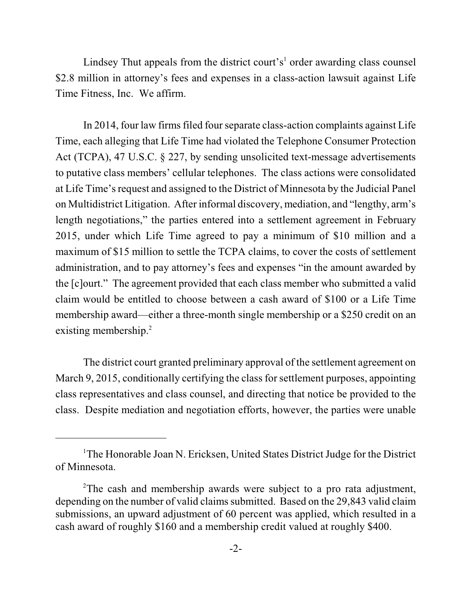Lindsey Thut appeals from the district court's<sup>1</sup> order awarding class counsel \$2.8 million in attorney's fees and expenses in a class-action lawsuit against Life Time Fitness, Inc. We affirm.

In 2014, four law firms filed fourseparate class-action complaints against Life Time, each alleging that Life Time had violated the Telephone Consumer Protection Act (TCPA), 47 U.S.C. § 227, by sending unsolicited text-message advertisements to putative class members' cellular telephones. The class actions were consolidated at Life Time's request and assigned to the District of Minnesota by the Judicial Panel on Multidistrict Litigation. After informal discovery, mediation, and "lengthy, arm's length negotiations," the parties entered into a settlement agreement in February 2015, under which Life Time agreed to pay a minimum of \$10 million and a maximum of \$15 million to settle the TCPA claims, to cover the costs of settlement administration, and to pay attorney's fees and expenses "in the amount awarded by the [c]ourt." The agreement provided that each class member who submitted a valid claim would be entitled to choose between a cash award of \$100 or a Life Time membership award—either a three-month single membership or a \$250 credit on an existing membership.<sup>2</sup>

The district court granted preliminary approval of the settlement agreement on March 9, 2015, conditionally certifying the class for settlement purposes, appointing class representatives and class counsel, and directing that notice be provided to the class. Despite mediation and negotiation efforts, however, the parties were unable

<sup>&</sup>lt;sup>1</sup>The Honorable Joan N. Ericksen, United States District Judge for the District of Minnesota.

<sup>&</sup>lt;sup>2</sup>The cash and membership awards were subject to a pro rata adjustment, depending on the number of valid claims submitted. Based on the 29,843 valid claim submissions, an upward adjustment of 60 percent was applied, which resulted in a cash award of roughly \$160 and a membership credit valued at roughly \$400.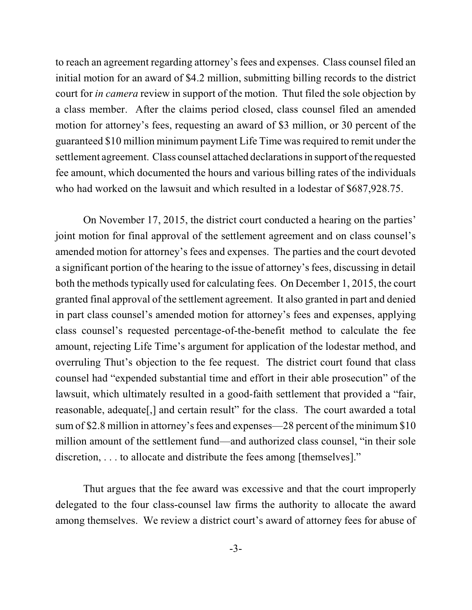to reach an agreement regarding attorney's fees and expenses. Class counsel filed an initial motion for an award of \$4.2 million, submitting billing records to the district court for *in camera* review in support of the motion. Thut filed the sole objection by a class member. After the claims period closed, class counsel filed an amended motion for attorney's fees, requesting an award of \$3 million, or 30 percent of the guaranteed \$10 million minimum payment Life Time wasrequired to remit under the settlement agreement. Class counsel attached declarations in support of the requested fee amount, which documented the hours and various billing rates of the individuals who had worked on the lawsuit and which resulted in a lodestar of \$687,928.75.

On November 17, 2015, the district court conducted a hearing on the parties' joint motion for final approval of the settlement agreement and on class counsel's amended motion for attorney's fees and expenses. The parties and the court devoted a significant portion of the hearing to the issue of attorney's fees, discussing in detail both the methods typically used for calculating fees. On December 1, 2015, the court granted final approval of the settlement agreement. It also granted in part and denied in part class counsel's amended motion for attorney's fees and expenses, applying class counsel's requested percentage-of-the-benefit method to calculate the fee amount, rejecting Life Time's argument for application of the lodestar method, and overruling Thut's objection to the fee request. The district court found that class counsel had "expended substantial time and effort in their able prosecution" of the lawsuit, which ultimately resulted in a good-faith settlement that provided a "fair, reasonable, adequate[,] and certain result" for the class. The court awarded a total sum of \$2.8 million in attorney's fees and expenses—28 percent of the minimum \$10 million amount of the settlement fund—and authorized class counsel, "in their sole discretion, . . . to allocate and distribute the fees among [themselves]."

Thut argues that the fee award was excessive and that the court improperly delegated to the four class-counsel law firms the authority to allocate the award among themselves. We review a district court's award of attorney fees for abuse of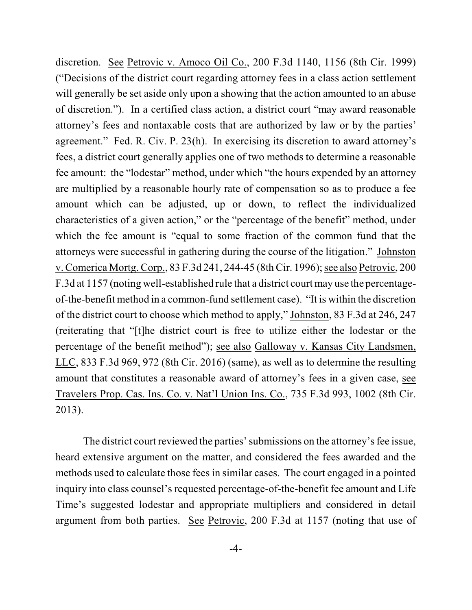discretion. See Petrovic v. Amoco Oil Co., 200 F.3d 1140, 1156 (8th Cir. 1999) ("Decisions of the district court regarding attorney fees in a class action settlement will generally be set aside only upon a showing that the action amounted to an abuse of discretion."). In a certified class action, a district court "may award reasonable attorney's fees and nontaxable costs that are authorized by law or by the parties' agreement." Fed. R. Civ. P. 23(h). In exercising its discretion to award attorney's fees, a district court generally applies one of two methods to determine a reasonable fee amount: the "lodestar" method, under which "the hours expended by an attorney are multiplied by a reasonable hourly rate of compensation so as to produce a fee amount which can be adjusted, up or down, to reflect the individualized characteristics of a given action," or the "percentage of the benefit" method, under which the fee amount is "equal to some fraction of the common fund that the attorneys were successful in gathering during the course of the litigation." Johnston v. Comerica Mortg. Corp., 83 F.3d 241, 244-45 (8thCir. 1996); see also Petrovic, 200 F.3d at 1157 (noting well-established rule that a district court may use the percentageof-the-benefit method in a common-fund settlement case). "It is within the discretion of the district court to choose which method to apply," Johnston, 83 F.3d at 246, 247 (reiterating that "[t]he district court is free to utilize either the lodestar or the percentage of the benefit method"); see also Galloway v. Kansas City Landsmen, LLC, 833 F.3d 969, 972 (8th Cir. 2016) (same), as well as to determine the resulting amount that constitutes a reasonable award of attorney's fees in a given case, see Travelers Prop. Cas. Ins. Co. v. Nat'l Union Ins. Co., 735 F.3d 993, 1002 (8th Cir. 2013).

The district court reviewed the parties' submissions on the attorney's fee issue, heard extensive argument on the matter, and considered the fees awarded and the methods used to calculate those fees in similar cases. The court engaged in a pointed inquiry into class counsel's requested percentage-of-the-benefit fee amount and Life Time's suggested lodestar and appropriate multipliers and considered in detail argument from both parties. See Petrovic, 200 F.3d at 1157 (noting that use of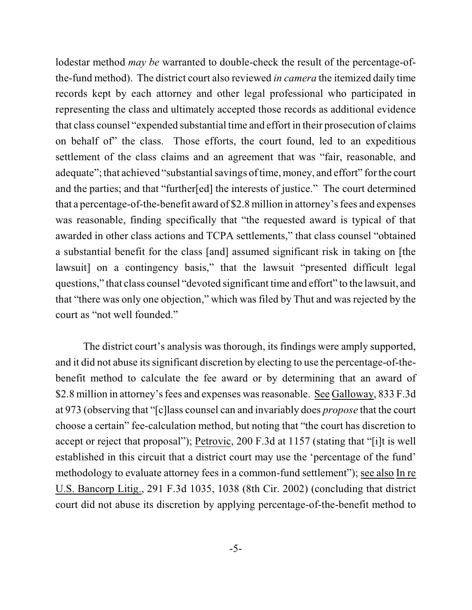lodestar method *may be* warranted to double-check the result of the percentage-ofthe-fund method). The district court also reviewed *in camera* the itemized daily time records kept by each attorney and other legal professional who participated in representing the class and ultimately accepted those records as additional evidence that class counsel "expended substantial time and effort in their prosecution of claims on behalf of" the class. Those efforts, the court found, led to an expeditious settlement of the class claims and an agreement that was "fair, reasonable, and adequate"; that achieved "substantial savings of time, money, and effort" for the court and the parties; and that "further[ed] the interests of justice." The court determined that a percentage-of-the-benefit award of \$2.8 million in attorney's fees and expenses was reasonable, finding specifically that "the requested award is typical of that awarded in other class actions and TCPA settlements," that class counsel "obtained a substantial benefit for the class [and] assumed significant risk in taking on [the lawsuit] on a contingency basis," that the lawsuit "presented difficult legal questions," that class counsel "devoted significant time and effort" to the lawsuit, and that "there was only one objection," which was filed by Thut and was rejected by the court as "not well founded."

The district court's analysis was thorough, its findings were amply supported, and it did not abuse its significant discretion by electing to use the percentage-of-thebenefit method to calculate the fee award or by determining that an award of \$2.8 million in attorney's fees and expenses was reasonable. See Galloway, 833 F.3d at 973 (observing that "[c]lass counsel can and invariably does *propose* that the court choose a certain" fee-calculation method, but noting that "the court has discretion to accept or reject that proposal"); Petrovic, 200 F.3d at 1157 (stating that "[i]t is well established in this circuit that a district court may use the 'percentage of the fund' methodology to evaluate attorney fees in a common-fund settlement"); see also In re U.S. Bancorp Litig., 291 F.3d 1035, 1038 (8th Cir. 2002) (concluding that district court did not abuse its discretion by applying percentage-of-the-benefit method to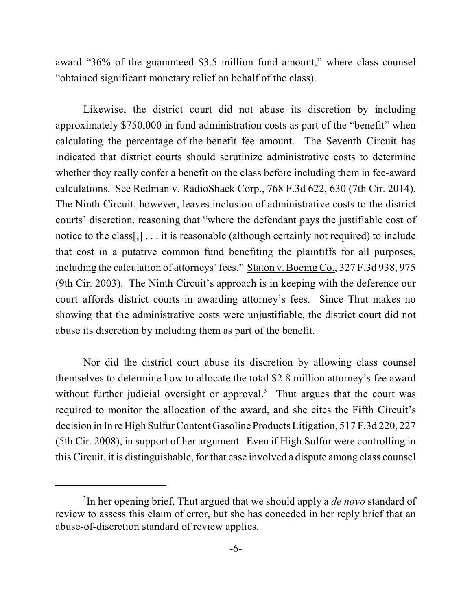award "36% of the guaranteed \$3.5 million fund amount," where class counsel "obtained significant monetary relief on behalf of the class).

Likewise, the district court did not abuse its discretion by including approximately \$750,000 in fund administration costs as part of the "benefit" when calculating the percentage-of-the-benefit fee amount. The Seventh Circuit has indicated that district courts should scrutinize administrative costs to determine whether they really confer a benefit on the class before including them in fee-award calculations. See Redman v. RadioShack Corp., 768 F.3d 622, 630 (7th Cir. 2014). The Ninth Circuit, however, leaves inclusion of administrative costs to the district courts' discretion, reasoning that "where the defendant pays the justifiable cost of notice to the class[,] . . . it is reasonable (although certainly not required) to include that cost in a putative common fund benefiting the plaintiffs for all purposes, including the calculation of attorneys' fees." Staton v. Boeing Co., 327 F.3d 938, 975 (9th Cir. 2003). The Ninth Circuit's approach is in keeping with the deference our court affords district courts in awarding attorney's fees. Since Thut makes no showing that the administrative costs were unjustifiable, the district court did not abuse its discretion by including them as part of the benefit.

Nor did the district court abuse its discretion by allowing class counsel themselves to determine how to allocate the total \$2.8 million attorney's fee award without further judicial oversight or approval.<sup>3</sup> Thut argues that the court was required to monitor the allocation of the award, and she cites the Fifth Circuit's decision in In re High Sulfur Content Gasoline Products Litigation, 517 F.3d 220, 227 (5th Cir. 2008), in support of her argument. Even if High Sulfur were controlling in this Circuit, it is distinguishable, for that case involved a dispute among class counsel

<sup>&</sup>lt;sup>3</sup>In her opening brief, Thut argued that we should apply a *de novo* standard of review to assess this claim of error, but she has conceded in her reply brief that an abuse-of-discretion standard of review applies.